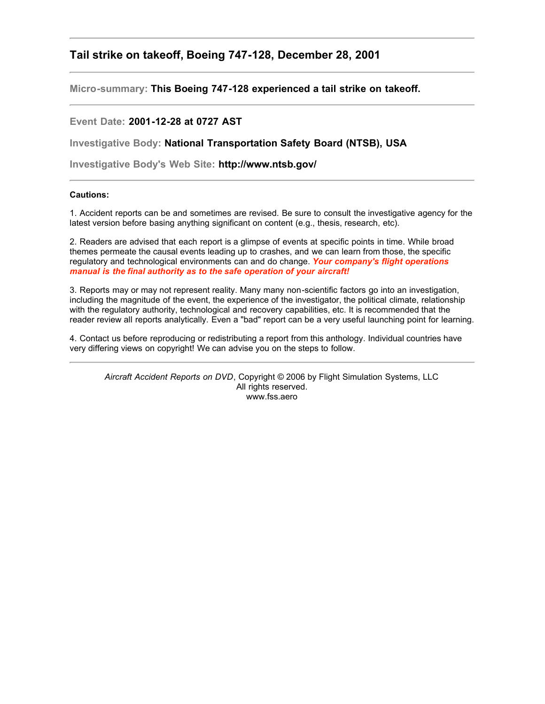## **Tail strike on takeoff, Boeing 747-128, December 28, 2001**

**Micro-summary: This Boeing 747-128 experienced a tail strike on takeoff.**

## **Event Date: 2001-12-28 at 0727 AST**

**Investigative Body: National Transportation Safety Board (NTSB), USA**

**Investigative Body's Web Site: http://www.ntsb.gov/**

## **Cautions:**

1. Accident reports can be and sometimes are revised. Be sure to consult the investigative agency for the latest version before basing anything significant on content (e.g., thesis, research, etc).

2. Readers are advised that each report is a glimpse of events at specific points in time. While broad themes permeate the causal events leading up to crashes, and we can learn from those, the specific regulatory and technological environments can and do change. *Your company's flight operations manual is the final authority as to the safe operation of your aircraft!*

3. Reports may or may not represent reality. Many many non-scientific factors go into an investigation, including the magnitude of the event, the experience of the investigator, the political climate, relationship with the regulatory authority, technological and recovery capabilities, etc. It is recommended that the reader review all reports analytically. Even a "bad" report can be a very useful launching point for learning.

4. Contact us before reproducing or redistributing a report from this anthology. Individual countries have very differing views on copyright! We can advise you on the steps to follow.

*Aircraft Accident Reports on DVD*, Copyright © 2006 by Flight Simulation Systems, LLC All rights reserved. www.fss.aero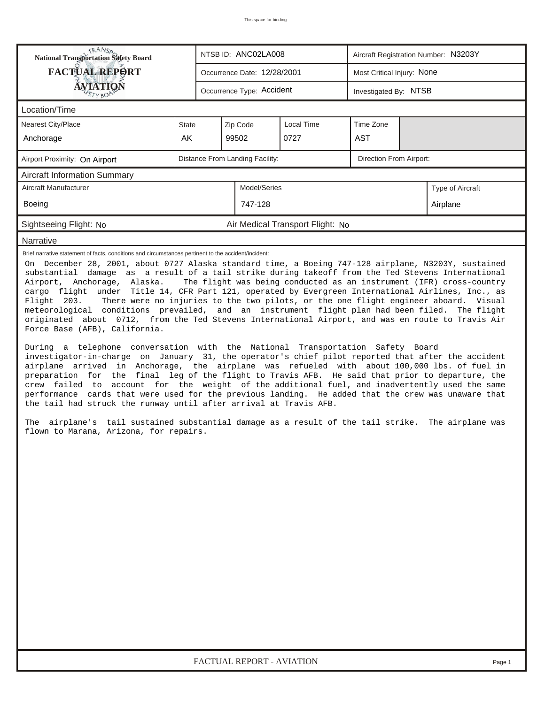| <b>National Transportation Safety Board</b>                                                                                                                                                                                                                                                                                                                                                                                                                                                                                                                                                                                                                                                                                                                                                                                                                                                                                                                                                                                                                                                                                                                                                                                                                                                                                                                                                                                                                                                                                   |                                                            |                           | NTSB ID: ANC02LA008         |                                  | Aircraft Registration Number: N3203Y |          |                                                                                                                                                            |  |  |  |
|-------------------------------------------------------------------------------------------------------------------------------------------------------------------------------------------------------------------------------------------------------------------------------------------------------------------------------------------------------------------------------------------------------------------------------------------------------------------------------------------------------------------------------------------------------------------------------------------------------------------------------------------------------------------------------------------------------------------------------------------------------------------------------------------------------------------------------------------------------------------------------------------------------------------------------------------------------------------------------------------------------------------------------------------------------------------------------------------------------------------------------------------------------------------------------------------------------------------------------------------------------------------------------------------------------------------------------------------------------------------------------------------------------------------------------------------------------------------------------------------------------------------------------|------------------------------------------------------------|---------------------------|-----------------------------|----------------------------------|--------------------------------------|----------|------------------------------------------------------------------------------------------------------------------------------------------------------------|--|--|--|
| <b>FACTUAL REPORT</b>                                                                                                                                                                                                                                                                                                                                                                                                                                                                                                                                                                                                                                                                                                                                                                                                                                                                                                                                                                                                                                                                                                                                                                                                                                                                                                                                                                                                                                                                                                         |                                                            |                           | Occurrence Date: 12/28/2001 |                                  | Most Critical Injury: None           |          |                                                                                                                                                            |  |  |  |
| <b>ÁVIATIQÑ</b>                                                                                                                                                                                                                                                                                                                                                                                                                                                                                                                                                                                                                                                                                                                                                                                                                                                                                                                                                                                                                                                                                                                                                                                                                                                                                                                                                                                                                                                                                                               |                                                            | Occurrence Type: Accident |                             | Investigated By: NTSB            |                                      |          |                                                                                                                                                            |  |  |  |
| Location/Time                                                                                                                                                                                                                                                                                                                                                                                                                                                                                                                                                                                                                                                                                                                                                                                                                                                                                                                                                                                                                                                                                                                                                                                                                                                                                                                                                                                                                                                                                                                 |                                                            |                           |                             |                                  |                                      |          |                                                                                                                                                            |  |  |  |
| Nearest City/Place                                                                                                                                                                                                                                                                                                                                                                                                                                                                                                                                                                                                                                                                                                                                                                                                                                                                                                                                                                                                                                                                                                                                                                                                                                                                                                                                                                                                                                                                                                            | <b>State</b>                                               |                           | Zip Code                    | Local Time                       | Time Zone                            |          |                                                                                                                                                            |  |  |  |
| Anchorage                                                                                                                                                                                                                                                                                                                                                                                                                                                                                                                                                                                                                                                                                                                                                                                                                                                                                                                                                                                                                                                                                                                                                                                                                                                                                                                                                                                                                                                                                                                     | AK                                                         |                           | 99502                       | 0727                             | <b>AST</b>                           |          |                                                                                                                                                            |  |  |  |
| Airport Proximity: On Airport                                                                                                                                                                                                                                                                                                                                                                                                                                                                                                                                                                                                                                                                                                                                                                                                                                                                                                                                                                                                                                                                                                                                                                                                                                                                                                                                                                                                                                                                                                 | Distance From Landing Facility:<br>Direction From Airport: |                           |                             |                                  |                                      |          |                                                                                                                                                            |  |  |  |
| <b>Aircraft Information Summary</b>                                                                                                                                                                                                                                                                                                                                                                                                                                                                                                                                                                                                                                                                                                                                                                                                                                                                                                                                                                                                                                                                                                                                                                                                                                                                                                                                                                                                                                                                                           |                                                            |                           |                             |                                  |                                      |          |                                                                                                                                                            |  |  |  |
| Aircraft Manufacturer                                                                                                                                                                                                                                                                                                                                                                                                                                                                                                                                                                                                                                                                                                                                                                                                                                                                                                                                                                                                                                                                                                                                                                                                                                                                                                                                                                                                                                                                                                         |                                                            |                           | Model/Series                |                                  |                                      |          | Type of Aircraft                                                                                                                                           |  |  |  |
| Boeing                                                                                                                                                                                                                                                                                                                                                                                                                                                                                                                                                                                                                                                                                                                                                                                                                                                                                                                                                                                                                                                                                                                                                                                                                                                                                                                                                                                                                                                                                                                        |                                                            |                           | 747-128                     |                                  |                                      | Airplane |                                                                                                                                                            |  |  |  |
| Sightseeing Flight: No                                                                                                                                                                                                                                                                                                                                                                                                                                                                                                                                                                                                                                                                                                                                                                                                                                                                                                                                                                                                                                                                                                                                                                                                                                                                                                                                                                                                                                                                                                        |                                                            |                           |                             | Air Medical Transport Flight: No |                                      |          |                                                                                                                                                            |  |  |  |
| Narrative                                                                                                                                                                                                                                                                                                                                                                                                                                                                                                                                                                                                                                                                                                                                                                                                                                                                                                                                                                                                                                                                                                                                                                                                                                                                                                                                                                                                                                                                                                                     |                                                            |                           |                             |                                  |                                      |          |                                                                                                                                                            |  |  |  |
| Brief narrative statement of facts, conditions and circumstances pertinent to the accident/incident:<br>On December 28, 2001, about 0727 Alaska standard time, a Boeing 747-128 airplane, N3203Y, sustained<br>substantial damage as a result of a tail strike during takeoff from the Ted Stevens International<br>Airport, Anchorage, Alaska.<br>cargo flight under Title 14, CFR Part 121, operated by Evergreen International Airlines, Inc., as<br>Flight 203.<br>meteorological conditions prevailed, and an instrument flight plan had been filed. The flight<br>originated about 0712, from the Ted Stevens International Airport, and was en route to Travis Air<br>Force Base (AFB), California.<br>During a telephone conversation with the National Transportation Safety Board<br>investigator-in-charge on January 31, the operator's chief pilot reported that after the accident<br>airplane arrived in Anchorage, the airplane was refueled with about 100,000 lbs. of fuel in<br>preparation for the final leg of the flight to Travis AFB. He said that prior to departure, the<br>crew failed to account for the weight of the additional fuel, and inadvertently used the same<br>performance cards that were used for the previous landing. He added that the crew was unaware that<br>the tail had struck the runway until after arrival at Travis AFB.<br>The airplane's tail sustained substantial damage as a result of the tail strike. The airplane was<br>flown to Marana, Arizona, for repairs. |                                                            |                           |                             |                                  |                                      |          | The flight was being conducted as an instrument (IFR) cross-country<br>There were no injuries to the two pilots, or the one flight engineer aboard. Visual |  |  |  |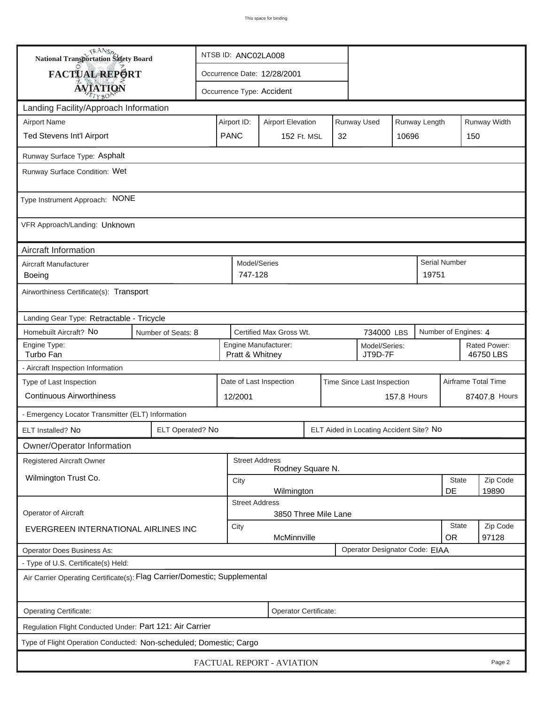| <b>National Transportation Safety Board</b>                               |                                                                                     | NTSB ID: ANC02LA008                                                     |                       |                           |             |  |                                |                     |                           |                      |          |
|---------------------------------------------------------------------------|-------------------------------------------------------------------------------------|-------------------------------------------------------------------------|-----------------------|---------------------------|-------------|--|--------------------------------|---------------------|---------------------------|----------------------|----------|
| <b>FACTUAL REPORT</b>                                                     |                                                                                     | Occurrence Date: 12/28/2001                                             |                       |                           |             |  |                                |                     |                           |                      |          |
| <b>AVIATION</b>                                                           |                                                                                     |                                                                         |                       | Occurrence Type: Accident |             |  |                                |                     |                           |                      |          |
| Landing Facility/Approach Information                                     |                                                                                     |                                                                         |                       |                           |             |  |                                |                     |                           |                      |          |
| <b>Airport Name</b>                                                       |                                                                                     | Runway Used<br>Runway Length<br>Airport ID:<br><b>Airport Elevation</b> |                       |                           |             |  |                                |                     |                           | Runway Width         |          |
| Ted Stevens Int'l Airport                                                 | <b>PANC</b>                                                                         |                                                                         | 152 Ft. MSL           |                           | 32<br>10696 |  |                                |                     | 150                       |                      |          |
| Runway Surface Type: Asphalt                                              |                                                                                     |                                                                         |                       |                           |             |  |                                |                     |                           |                      |          |
| Runway Surface Condition: Wet                                             |                                                                                     |                                                                         |                       |                           |             |  |                                |                     |                           |                      |          |
| Type Instrument Approach: NONE                                            |                                                                                     |                                                                         |                       |                           |             |  |                                |                     |                           |                      |          |
| VFR Approach/Landing: Unknown                                             |                                                                                     |                                                                         |                       |                           |             |  |                                |                     |                           |                      |          |
| Aircraft Information                                                      |                                                                                     |                                                                         | Model/Series          |                           |             |  |                                |                     |                           |                      |          |
| Aircraft Manufacturer<br>Boeing                                           |                                                                                     |                                                                         |                       |                           |             |  |                                |                     | 19751                     | <b>Serial Number</b> |          |
| Airworthiness Certificate(s): Transport                                   |                                                                                     |                                                                         |                       |                           |             |  |                                |                     |                           |                      |          |
| Landing Gear Type: Retractable - Tricycle                                 |                                                                                     |                                                                         |                       |                           |             |  |                                |                     |                           |                      |          |
| Homebuilt Aircraft? No                                                    | Certified Max Gross Wt.<br>Number of Engines: 4<br>Number of Seats: 8<br>734000 LBS |                                                                         |                       |                           |             |  |                                |                     |                           |                      |          |
| Engine Type:<br>Turbo Fan                                                 |                                                                                     | Engine Manufacturer:<br>Model/Series:<br>Pratt & Whitney<br>JT9D-7F     |                       |                           |             |  |                                |                     | Rated Power:<br>46750 LBS |                      |          |
| - Aircraft Inspection Information                                         |                                                                                     |                                                                         |                       |                           |             |  |                                |                     |                           |                      |          |
| Type of Last Inspection                                                   |                                                                                     | Date of Last Inspection<br>Time Since Last Inspection                   |                       |                           |             |  |                                | Airframe Total Time |                           |                      |          |
| <b>Continuous Airworthiness</b>                                           |                                                                                     |                                                                         | 12/2001               |                           |             |  | 157.8 Hours                    |                     |                           | 87407.8 Hours        |          |
| - Emergency Locator Transmitter (ELT) Information                         |                                                                                     |                                                                         |                       |                           |             |  |                                |                     |                           |                      |          |
| ELT Installed? No                                                         | ELT Operated? No                                                                    | ELT Aided in Locating Accident Site? No                                 |                       |                           |             |  |                                |                     |                           |                      |          |
| Owner/Operator Information                                                |                                                                                     |                                                                         |                       |                           |             |  |                                |                     |                           |                      |          |
| Registered Aircraft Owner                                                 |                                                                                     |                                                                         | <b>Street Address</b> | Rodney Square N.          |             |  |                                |                     |                           |                      |          |
| Wilmington Trust Co.                                                      |                                                                                     | City                                                                    |                       |                           |             |  |                                |                     |                           | <b>State</b>         | Zip Code |
|                                                                           |                                                                                     | DE<br>19890<br>Wilmington<br><b>Street Address</b>                      |                       |                           |             |  |                                |                     |                           |                      |          |
| Operator of Aircraft                                                      |                                                                                     |                                                                         |                       | 3850 Three Mile Lane      |             |  |                                |                     |                           |                      |          |
| EVERGREEN INTERNATIONAL AIRLINES INC                                      | City<br>McMinnville                                                                 |                                                                         |                       |                           |             |  |                                |                     | <b>State</b><br><b>OR</b> | Zip Code<br>97128    |          |
| <b>Operator Does Business As:</b>                                         |                                                                                     |                                                                         |                       |                           |             |  | Operator Designator Code: EIAA |                     |                           |                      |          |
| - Type of U.S. Certificate(s) Held:                                       |                                                                                     |                                                                         |                       |                           |             |  |                                |                     |                           |                      |          |
| Air Carrier Operating Certificate(s): Flag Carrier/Domestic; Supplemental |                                                                                     |                                                                         |                       |                           |             |  |                                |                     |                           |                      |          |
| Operating Certificate:                                                    |                                                                                     |                                                                         |                       | Operator Certificate:     |             |  |                                |                     |                           |                      |          |
| Regulation Flight Conducted Under: Part 121: Air Carrier                  |                                                                                     |                                                                         |                       |                           |             |  |                                |                     |                           |                      |          |
| Type of Flight Operation Conducted: Non-scheduled; Domestic; Cargo        |                                                                                     |                                                                         |                       |                           |             |  |                                |                     |                           |                      |          |
| FACTUAL REPORT - AVIATION<br>Page 2                                       |                                                                                     |                                                                         |                       |                           |             |  |                                |                     |                           |                      |          |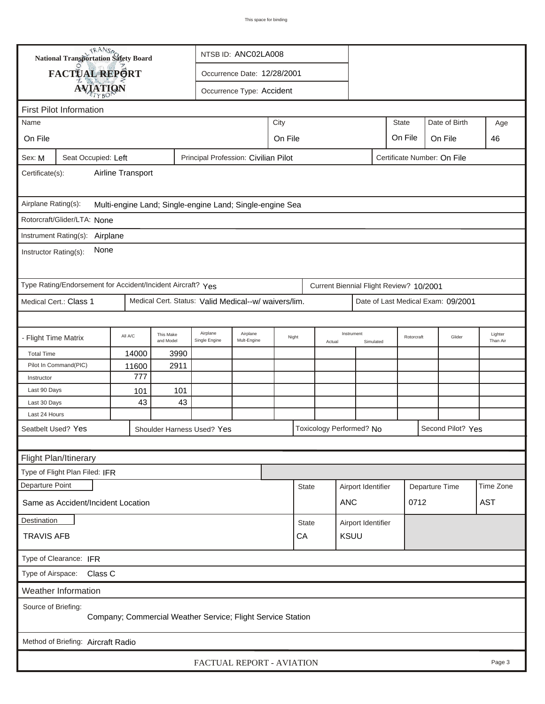| TRANSA<br>NTSB ID: ANC02LA008<br><b>National Transportation Safety Board</b>                      |         |                        |                             |                               |      |                            |                   |                                         |                    |            |                                    |                     |
|---------------------------------------------------------------------------------------------------|---------|------------------------|-----------------------------|-------------------------------|------|----------------------------|-------------------|-----------------------------------------|--------------------|------------|------------------------------------|---------------------|
| <b>FACTUAL REPORT</b>                                                                             |         |                        | Occurrence Date: 12/28/2001 |                               |      |                            |                   |                                         |                    |            |                                    |                     |
|                                                                                                   |         |                        |                             | Occurrence Type: Accident     |      |                            |                   |                                         |                    |            |                                    |                     |
| <b>AVIATION</b>                                                                                   |         |                        |                             |                               |      |                            |                   |                                         |                    |            |                                    |                     |
| <b>First Pilot Information</b><br><b>State</b><br>Date of Birth<br>Name                           |         |                        |                             |                               |      |                            |                   |                                         |                    |            |                                    |                     |
|                                                                                                   |         |                        |                             |                               | City |                            |                   |                                         |                    |            |                                    | Age<br>46           |
| On File                                                                                           |         |                        |                             | On File<br>On File<br>On File |      |                            |                   |                                         |                    |            |                                    |                     |
| Seat Occupied: Left<br>Principal Profession: Civilian Pilot<br>Sex: M                             |         |                        |                             |                               |      |                            |                   |                                         |                    |            | Certificate Number: On File        |                     |
| Airline Transport<br>Certificate(s):                                                              |         |                        |                             |                               |      |                            |                   |                                         |                    |            |                                    |                     |
| Airplane Rating(s):<br>Multi-engine Land; Single-engine Land; Single-engine Sea                   |         |                        |                             |                               |      |                            |                   |                                         |                    |            |                                    |                     |
| Rotorcraft/Glider/LTA: None                                                                       |         |                        |                             |                               |      |                            |                   |                                         |                    |            |                                    |                     |
| Instrument Rating(s): Airplane                                                                    |         |                        |                             |                               |      |                            |                   |                                         |                    |            |                                    |                     |
| None<br>Instructor Rating(s):                                                                     |         |                        |                             |                               |      |                            |                   |                                         |                    |            |                                    |                     |
| Type Rating/Endorsement for Accident/Incident Aircraft? Yes                                       |         |                        |                             |                               |      |                            |                   | Current Biennial Flight Review? 10/2001 |                    |            |                                    |                     |
| Medical Cert. Status: Valid Medical--w/ waivers/lim.<br>Medical Cert.: Class 1                    |         |                        |                             |                               |      |                            |                   |                                         |                    |            | Date of Last Medical Exam: 09/2001 |                     |
|                                                                                                   |         |                        |                             |                               |      |                            |                   |                                         |                    |            |                                    |                     |
| <b>Flight Time Matrix</b>                                                                         | All A/C | This Make<br>and Model | Airplane<br>Single Engine   | Airplane<br>Mult-Engine       |      | Night<br>Actual            |                   | Instrument<br>Simulated                 |                    | Rotorcraft | Glider                             | Lighter<br>Than Air |
| <b>Total Time</b>                                                                                 | 14000   | 3990                   |                             |                               |      |                            |                   |                                         |                    |            |                                    |                     |
| Pilot In Command(PIC)                                                                             | 11600   | 2911                   |                             |                               |      |                            |                   |                                         |                    |            |                                    |                     |
| Instructor                                                                                        | 777     |                        |                             |                               |      |                            |                   |                                         |                    |            |                                    |                     |
| Last 90 Days                                                                                      | 101     | 101                    |                             |                               |      |                            |                   |                                         |                    |            |                                    |                     |
| Last 30 Days                                                                                      | 43      | 43                     |                             |                               |      |                            |                   |                                         |                    |            |                                    |                     |
| Last 24 Hours                                                                                     |         |                        |                             |                               |      |                            |                   |                                         |                    |            |                                    |                     |
| Toxicology Performed? No<br>Second Pilot? Yes<br>Seatbelt Used? Yes<br>Shoulder Harness Used? Yes |         |                        |                             |                               |      |                            |                   |                                         |                    |            |                                    |                     |
|                                                                                                   |         |                        |                             |                               |      |                            |                   |                                         |                    |            |                                    |                     |
| Flight Plan/Itinerary<br>Type of Flight Plan Filed: IFR                                           |         |                        |                             |                               |      |                            |                   |                                         |                    |            |                                    |                     |
| Departure Point                                                                                   |         |                        |                             |                               |      |                            |                   |                                         |                    |            |                                    | Time Zone           |
| Same as Accident/Incident Location                                                                |         |                        |                             |                               |      | <b>State</b><br><b>ANC</b> |                   |                                         | Airport Identifier |            | Departure Time<br>0712             | <b>AST</b>          |
| Destination                                                                                       |         |                        |                             |                               |      | <b>State</b>               |                   | Airport Identifier                      |                    |            |                                    |                     |
| <b>TRAVIS AFB</b>                                                                                 |         |                        |                             |                               |      |                            | <b>KSUU</b><br>CA |                                         |                    |            |                                    |                     |
| Type of Clearance: IFR                                                                            |         |                        |                             |                               |      |                            |                   |                                         |                    |            |                                    |                     |
| Type of Airspace:<br>Class C                                                                      |         |                        |                             |                               |      |                            |                   |                                         |                    |            |                                    |                     |
| Weather Information                                                                               |         |                        |                             |                               |      |                            |                   |                                         |                    |            |                                    |                     |
| Source of Briefing:<br>Company; Commercial Weather Service; Flight Service Station                |         |                        |                             |                               |      |                            |                   |                                         |                    |            |                                    |                     |
| Method of Briefing: Aircraft Radio                                                                |         |                        |                             |                               |      |                            |                   |                                         |                    |            |                                    |                     |
| FACTUAL REPORT - AVIATION<br>Page 3                                                               |         |                        |                             |                               |      |                            |                   |                                         |                    |            |                                    |                     |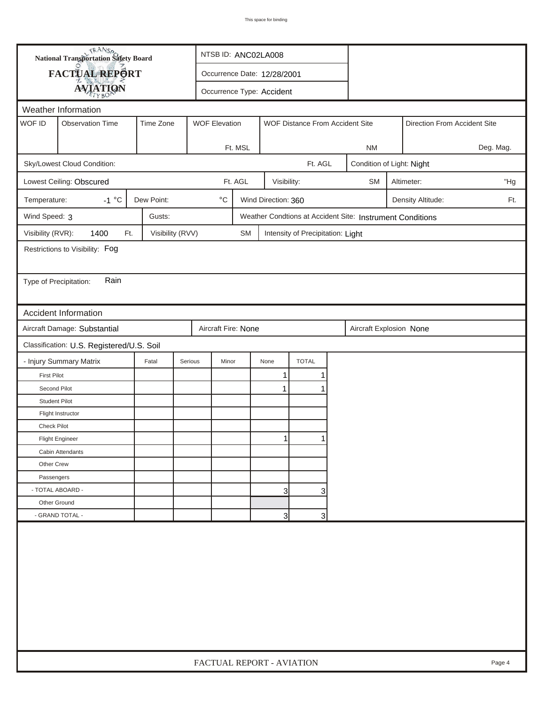|                                 |                                                                                                 | <b>National Transportation Safety Board</b> | NTSB ID: ANC02LA008                      |                                            |         |                |                                   |   |                           |                                                           |                              |                   |           |
|---------------------------------|-------------------------------------------------------------------------------------------------|---------------------------------------------|------------------------------------------|--------------------------------------------|---------|----------------|-----------------------------------|---|---------------------------|-----------------------------------------------------------|------------------------------|-------------------|-----------|
|                                 | FACTUAL REPORT                                                                                  |                                             |                                          | Occurrence Date: 12/28/2001                |         |                |                                   |   |                           |                                                           |                              |                   |           |
|                                 | <b>AVIATION</b>                                                                                 |                                             |                                          | Occurrence Type: Accident                  |         |                |                                   |   |                           |                                                           |                              |                   |           |
|                                 | Weather Information                                                                             |                                             |                                          |                                            |         |                |                                   |   |                           |                                                           |                              |                   |           |
| WOF ID                          | Time Zone<br><b>Observation Time</b><br><b>WOF Elevation</b><br>WOF Distance From Accident Site |                                             |                                          |                                            |         |                |                                   |   |                           |                                                           | Direction From Accident Site |                   |           |
|                                 |                                                                                                 |                                             |                                          |                                            |         |                |                                   |   |                           |                                                           |                              |                   |           |
|                                 |                                                                                                 |                                             |                                          |                                            | Ft. MSL |                |                                   |   |                           | <b>NM</b>                                                 |                              |                   | Deg. Mag. |
| Sky/Lowest Cloud Condition:     |                                                                                                 |                                             |                                          |                                            |         | Ft. AGL        |                                   |   | Condition of Light: Night |                                                           |                              |                   |           |
| Lowest Ceiling: Obscured        | Ft. AGL<br>Visibility:                                                                          |                                             |                                          |                                            |         |                |                                   |   | <b>SM</b>                 | "Hg<br>Altimeter:                                         |                              |                   |           |
| Temperature:                    | $-1 °C$                                                                                         | Dew Point:                                  |                                          | $^{\circ} \text{C}$<br>Wind Direction: 360 |         |                |                                   |   |                           |                                                           |                              | Density Altitude: | Ft.       |
| Wind Speed: 3                   |                                                                                                 | Gusts:                                      |                                          |                                            |         |                |                                   |   |                           | Weather Condtions at Accident Site: Instrument Conditions |                              |                   |           |
| Visibility (RVR):               | 1400<br>Ft.                                                                                     | Visibility (RVV)                            |                                          |                                            | SM      |                | Intensity of Precipitation: Light |   |                           |                                                           |                              |                   |           |
| Restrictions to Visibility: Fog |                                                                                                 |                                             |                                          |                                            |         |                |                                   |   |                           |                                                           |                              |                   |           |
|                                 |                                                                                                 |                                             |                                          |                                            |         |                |                                   |   |                           |                                                           |                              |                   |           |
| Type of Precipitation:          | Rain                                                                                            |                                             |                                          |                                            |         |                |                                   |   |                           |                                                           |                              |                   |           |
|                                 |                                                                                                 |                                             |                                          |                                            |         |                |                                   |   |                           |                                                           |                              |                   |           |
| Accident Information            |                                                                                                 |                                             |                                          |                                            |         |                |                                   |   |                           |                                                           |                              |                   |           |
|                                 | Aircraft Damage: Substantial<br>Aircraft Fire: None<br>Aircraft Explosion None                  |                                             |                                          |                                            |         |                |                                   |   |                           |                                                           |                              |                   |           |
|                                 | Classification: U.S. Registered/U.S. Soil                                                       |                                             |                                          |                                            |         |                |                                   |   |                           |                                                           |                              |                   |           |
| - Injury Summary Matrix         |                                                                                                 | Fatal                                       | <b>TOTAL</b><br>Serious<br>Minor<br>None |                                            |         |                |                                   |   |                           |                                                           |                              |                   |           |
| <b>First Pilot</b>              |                                                                                                 |                                             |                                          |                                            |         | 1              |                                   | 1 |                           |                                                           |                              |                   |           |
| Second Pilot                    |                                                                                                 |                                             |                                          |                                            |         | 1              |                                   |   |                           |                                                           |                              |                   |           |
| <b>Student Pilot</b>            |                                                                                                 |                                             |                                          |                                            |         |                |                                   |   |                           |                                                           |                              |                   |           |
| Flight Instructor               |                                                                                                 |                                             |                                          |                                            |         |                |                                   |   |                           |                                                           |                              |                   |           |
| Check Pilot                     |                                                                                                 |                                             |                                          |                                            |         |                |                                   |   |                           |                                                           |                              |                   |           |
| <b>Flight Engineer</b>          |                                                                                                 |                                             |                                          |                                            |         | $\mathbf{1}$   |                                   | 1 |                           |                                                           |                              |                   |           |
| Cabin Attendants                |                                                                                                 |                                             |                                          |                                            |         |                |                                   |   |                           |                                                           |                              |                   |           |
| Other Crew                      |                                                                                                 |                                             |                                          |                                            |         |                |                                   |   |                           |                                                           |                              |                   |           |
| Passengers                      |                                                                                                 |                                             |                                          |                                            |         |                |                                   |   |                           |                                                           |                              |                   |           |
| - TOTAL ABOARD -                |                                                                                                 |                                             |                                          |                                            |         | $\overline{3}$ |                                   | 3 |                           |                                                           |                              |                   |           |
| Other Ground                    |                                                                                                 |                                             |                                          |                                            |         |                |                                   |   |                           |                                                           |                              |                   |           |
|                                 | - GRAND TOTAL -<br>3<br>3                                                                       |                                             |                                          |                                            |         |                |                                   |   |                           |                                                           |                              |                   |           |